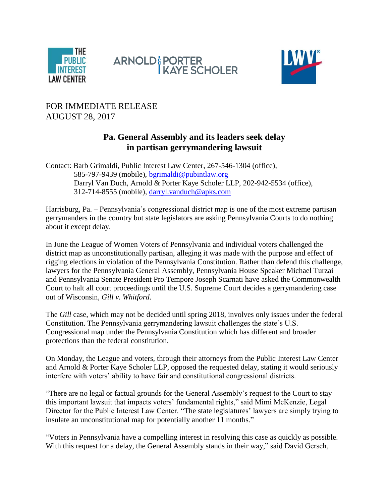





## FOR IMMEDIATE RELEASE AUGUST 28, 2017

## **Pa. General Assembly and its leaders seek delay in partisan gerrymandering lawsuit**

Contact: Barb Grimaldi, Public Interest Law Center, 267-546-1304 (office), 585-797-9439 (mobile), [bgrimaldi@pubintlaw.org](mailto:bgrimaldi@pubintlaw.org) Darryl Van Duch, Arnold & Porter Kaye Scholer LLP, 202-942-5534 (office), 312-714-8555 (mobile), [darryl.vanduch@apks.com](mailto:darryl.vanduch@apks.com)

Harrisburg, Pa. – Pennsylvania's congressional district map is one of the most extreme partisan gerrymanders in the country but state legislators are asking Pennsylvania Courts to do nothing about it except delay.

In June the League of Women Voters of Pennsylvania and individual voters challenged the district map as unconstitutionally partisan, alleging it was made with the purpose and effect of rigging elections in violation of the Pennsylvania Constitution. Rather than defend this challenge, lawyers for the Pennsylvania General Assembly, Pennsylvania House Speaker Michael Turzai and Pennsylvania Senate President Pro Tempore Joseph Scarnati have asked the Commonwealth Court to halt all court proceedings until the U.S. Supreme Court decides a gerrymandering case out of Wisconsin, *Gill v. Whitford*.

The *Gill* case, which may not be decided until spring 2018, involves only issues under the federal Constitution. The Pennsylvania gerrymandering lawsuit challenges the state's U.S. Congressional map under the Pennsylvania Constitution which has different and broader protections than the federal constitution.

On Monday, the League and voters, through their attorneys from the Public Interest Law Center and Arnold & Porter Kaye Scholer LLP, opposed the requested delay, stating it would seriously interfere with voters' ability to have fair and constitutional congressional districts.

"There are no legal or factual grounds for the General Assembly's request to the Court to stay this important lawsuit that impacts voters' fundamental rights," said Mimi McKenzie, Legal Director for the Public Interest Law Center. "The state legislatures' lawyers are simply trying to insulate an unconstitutional map for potentially another 11 months."

"Voters in Pennsylvania have a compelling interest in resolving this case as quickly as possible. With this request for a delay, the General Assembly stands in their way," said David Gersch,